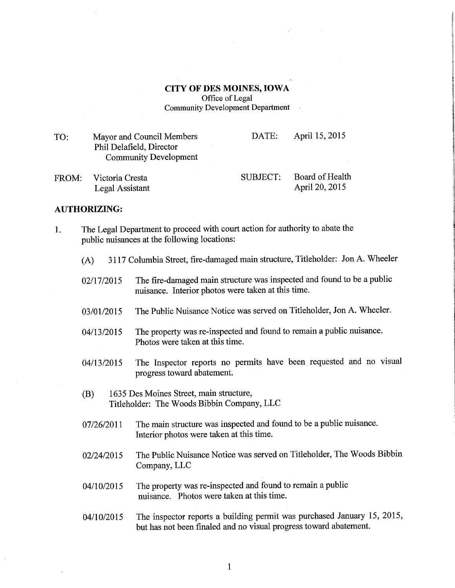CITY OF DES MOINES, IOWA Office of Legal Community Development Department

TO: Mayor and Council Members Phil Delafield, Director Community Development DATE: April 15, 2015

FROM: Victoria Cresta Legal Assistant SUBJECT: Board of Health April 20, 2015

## AUTHORIZING:

- 1. The Legal Department to proceed with court action for authority to abate the public nuisances at the following locations:
	- (A) 3117 Columbia Street, fire-damaged main structure, Titleholder: Jon A. Wheeler
	- 02/17/2015 The fire-damaged main structure was inspected and found to be a public nuisance. Interior photos were taken at this time.
	- 03/01/2015 The Public Nuisance Notice was served on Titleholder, Jon A. Wheeler.
	- 04/13/2015 The property was re-inspected and found to remain a public nuisance. Photos were taken at this time.
	- 04/13/2015 The Inspector reports no permits have been requested and no visual progress toward abatement.
	- (B) 1635 Des Moines Street, main structure, Titleholder: The Woods Bibbin Company, LLC
	- 07/26/2011 The main structure was inspected and found to be a public nuisance. Interior photos were taken at this time.
	- 02/24/2015 The Public Nuisance Notice was served on Titleholder, The Woods Bibbin Company, LLC
	- 04/10/2015 The property was re-inspected and found to remain a public nuisance. Photos were taken at this time.
	- 04/10/2015 The inspector reports a building permit was purchased January 15, 2015, but has not been finaled and no visual progress toward abatement.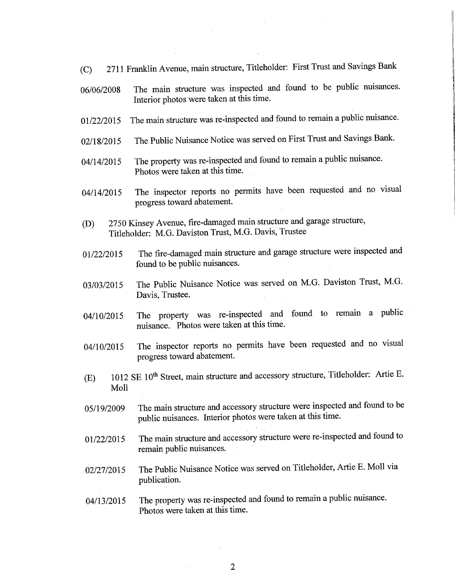- (C) 2711 Franklin Avenue, main structure, Titleholder: First Trust and Savings Bank
- 06/06/2008 The main structure was inspected and found to be public nuisances. Interior photos were taken at this time.
- 01/22/2015 The main structure was re-inspected and found to remain a public nuisance.
- 02/18/2015 The Public Nuisance Notice was served on First Trust and Savings Bank.
- 04/14/2015 The property was re-inspected and found to remain a public nuisance. Photos were taken at this time.
- 04/14/2015 The inspector reports no permits have been requested and no visual progress toward abatement.
- (D) 2750 Kinsey Avenue, fire-damaged main structure and garage structure, Titleholder: M.G. Daviston Trust, M.G. Davis, Trustee
- 01/22/2015 The fire-damaged main structure and garage structure were inspected and found to be public nuisances.
- 03/03/2015 The Public Nuisance Notice was served on M.G. Daviston Trust, M.G. Davis, Trustee.
- 04/10/2015 The property was re-inspected and found to remain a public nuisance. Photos were taken at this time.
- 04/10/2015 The inspector reports no permits have been requested and no visual progress toward abatement.
- (E) 1012 SE 10<sup>th</sup> Street, main structure and accessory structure, Titleholder: Artie E. Moll
- 05/19/2009 The main structure and accessory structure were inspected and found to be public nuisances. Interior photos were taken at this time.
- 01/22/2015 The main structure and accessory structure were re-inspected and found to remain public nuisances.
- 02/27/2015 The Public Nuisance Notice was served on Titleholder, Artie E. Moll via publication.
- 04/13/2015 The property was re-inspected and found to remain a public nuisance. Photos were taken at this time.